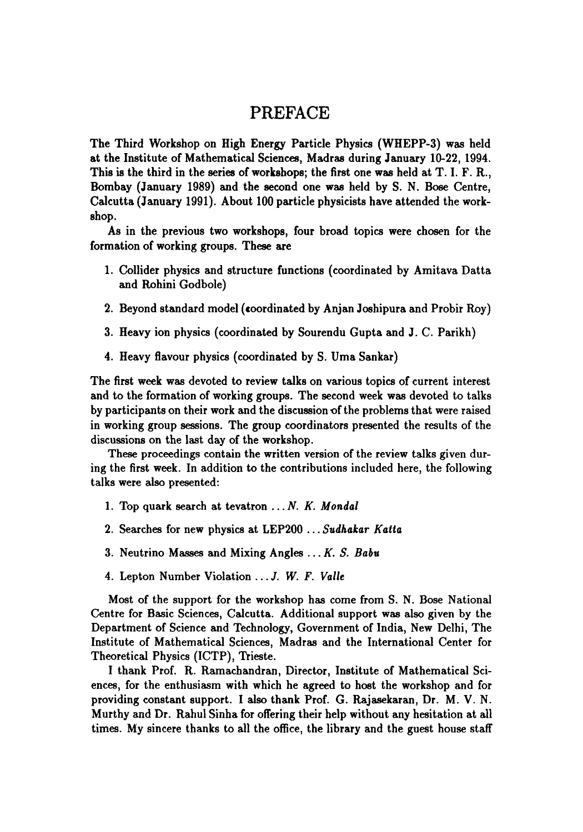## $T_{\rm eff}$  vertex/impact parameter is used to tag b hadron. The momentum of tag b hadron. The momentum of the momentum of the momentum of the momentum of the momentum of the momentum of the momentum of the momentum of the m PREFACE

The Third Workshop on High Energy Particle Physics (WHEPP-3) was held at the Institute of Mathematical Sciences, Madras during January 10-22, 1994. This is the third in the series of workshops; the first one was held at  $T$ . I. F. R., Bombay (January 1989) and the second one was held by S. N. Bose Centre, Calcutta (January 1991). About 100 particle physicists have attended the work- $\mathbf{shop.}$ 

As in the previous two workshops, four broad topics were chosen for the formation of working groups. These are

- 1. Collider physics and structure functions (coordinated by Amitava Datta which leads to sin20w  $\frac{1}{2}$ 
	- 2. Beyond standard model (coordinated by Anjan Joshipura and Probir Roy)
- vatively one would expect true sin $20\%$  to be smaller, if all the effects mentioned mentioned mentioned mentioned mentioned mentioned mentioned mentioned mentioned mentioned mentioned mentioned mentioned mentioned mentio a. neavy ion physics (coordina
	- 4. Heavy flavour physics (coordinated by S. Uma Sankar)

The first week was devoted to review talks on various topics of current interest and to the formation of working groups. The second week was devoted to talks<br>by participants on their work and the discussion of the problems that were raised larger boost making it a cleaner measurement with the tracks making of the tracks of the tracks of the tracks of the tracks of the tracks of the tracks of the tracks of the tracks of the tracks of the tracks of the tracks from the two jets in Z --, bf>. Excellent measurements, both inclusive as well as discussions on the last day of the workshop.<br>These proceedings contain the written version of the review talks given dur-

kind of review and only a given of the overall situation of the overall situation is given unthe instruction in addition to the contributions included here, the following talks were also presented:

- 1. Top quark search at tevatron  $\ldots N$ . K. Mondal nique requires an accurate measurement to minimise the systematics, in particular to minimise the systematics,
	- 2. Searches for new physics at LEP200 ... Sudhakar Katta
- is the so called spectrum of the so called spectrum is ignored and ignored and ignored and ignored and ignored and ignored and ignored and ignored and ignored and ignored and ignored and ignored and ignored and ignored an  $\sigma$ . iventumo masses and mixing Angles  $\dots$   $\Lambda$ .  $\sigma$ .
	- 4. Lepton Number Violation ... J. W. F. Valle

Most of the support for the workshop has come from S. N. Bose National Centre for Basic Sciences, Calcutta. Additional support was also given by the Department of Science and Technology, Government of India, New Delhi, The Institute of Mathematical Sciences, Madras and the International Center for

Theoretical Physics (ICTP), Trieste.<br>I thank Prof. R. Ramachandran, Director, Institute of Mathematical Sci-<br>ences, for the enthusiasm with which he agreed to host the workshop and for providing constant support. I also thank Prof. G. Rajasekaran, Dr. M. V. N. Murthy and Dr. Rahul Sinha for offering their help without any hesitation at all<br>times. My sincere thanks to all the office, the library and the guest house staff where  $\ddot{\phantom{a}}$  are combined phase space and  $\ddot{\phantom{a}}$  correction factors correction factors correction factors correction factors correction factors correction factors correction factors correction factors correction